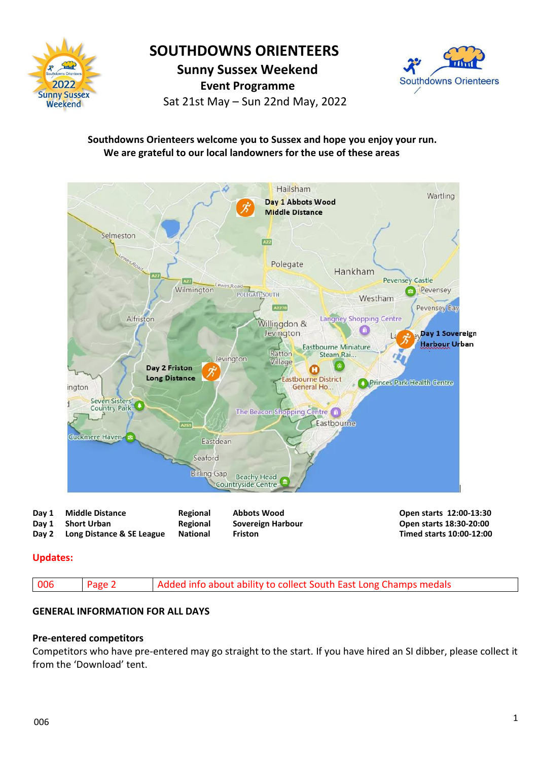

## **SOUTHDOWNS ORIENTEERS**

 **Sunny Sussex Weekend**

 **Event Programme**

Sat 21st May – Sun 22nd May, 2022



## **Southdowns Orienteers welcome you to Sussex and hope you enjoy your run. We are grateful to our local landowners for the use of these areas**



| Dav 1 | <b>Middle Distance</b>          | <b>Regional</b> | Abbots Wood       | Open starts 12:00-13:30  |
|-------|---------------------------------|-----------------|-------------------|--------------------------|
|       | Day 1 Short Urban               | <b>Regional</b> | Sovereign Harbour | Open starts 18:30-20:00  |
|       | Day 2 Long Distance & SE League | National        | Friston           | Timed starts 10:00-12:00 |

## **Updates:**



### **GENERAL INFORMATION FOR ALL DAYS**

### **Pre-entered competitors**

Competitors who have pre-entered may go straight to the start. If you have hired an SI dibber, please collect it from the 'Download' tent.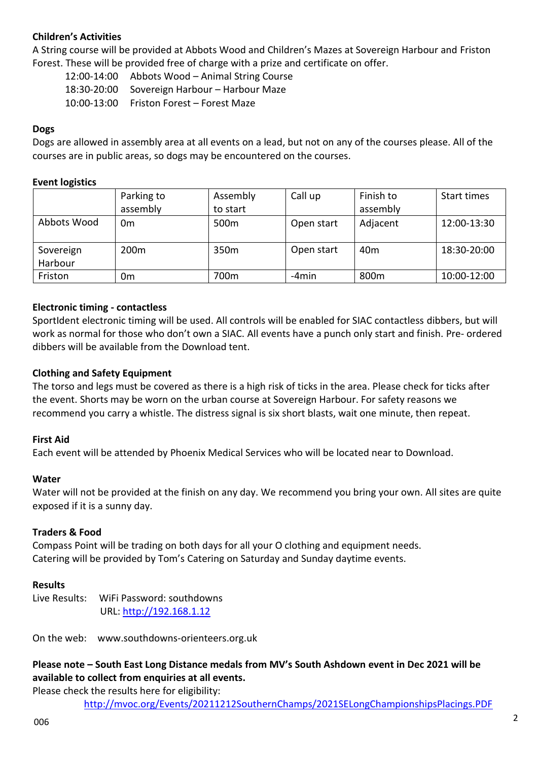## **Children's Activities**

A String course will be provided at Abbots Wood and Children's Mazes at Sovereign Harbour and Friston Forest. These will be provided free of charge with a prize and certificate on offer.

12:00-14:00 Abbots Wood – Animal String Course 18:30-20:00 Sovereign Harbour – Harbour Maze 10:00-13:00 Friston Forest – Forest Maze

## **Dogs**

Dogs are allowed in assembly area at all events on a lead, but not on any of the courses please. All of the courses are in public areas, so dogs may be encountered on the courses.

### **Event logistics**

|             | Parking to       | Assembly         | Call up    | Finish to       | Start times |
|-------------|------------------|------------------|------------|-----------------|-------------|
|             | assembly         | to start         |            | assembly        |             |
| Abbots Wood | 0 <sub>m</sub>   | 500 <sub>m</sub> | Open start | Adjacent        | 12:00-13:30 |
|             |                  |                  |            |                 |             |
| Sovereign   | 200 <sub>m</sub> | 350 <sub>m</sub> | Open start | 40 <sub>m</sub> | 18:30-20:00 |
| Harbour     |                  |                  |            |                 |             |
| Friston     | 0m               | 700m             | -4min      | 800m            | 10:00-12:00 |

## **Electronic timing - contactless**

SportIdent electronic timing will be used. All controls will be enabled for SIAC contactless dibbers, but will work as normal for those who don't own a SIAC. All events have a punch only start and finish. Pre- ordered dibbers will be available from the Download tent.

### **Clothing and Safety Equipment**

The torso and legs must be covered as there is a high risk of ticks in the area. Please check for ticks after the event. Shorts may be worn on the urban course at Sovereign Harbour. For safety reasons we recommend you carry a whistle. The distress signal is six short blasts, wait one minute, then repeat.

### **First Aid**

Each event will be attended by Phoenix Medical Services who will be located near to Download.

### **Water**

Water will not be provided at the finish on any day. We recommend you bring your own. All sites are quite exposed if it is a sunny day.

### **Traders & Food**

Compass Point will be trading on both days for all your O clothing and equipment needs. Catering will be provided by Tom's Catering on Saturday and Sunday daytime events.

### **Results**

Live Results: WiFi Password: southdowns URL: [http://192.168.1.12](http://192.168.1.12/)

On the web: [www.southdowns-orienteers.org.uk](http://www.southdowns-orienteers.org.uk/)

**Please note – South East Long Distance medals from MV's South Ashdown event in Dec 2021 will be available to collect from enquiries at all events.** 

Please check the results here for eligibility:

<http://mvoc.org/Events/20211212SouthernChamps/2021SELongChampionshipsPlacings.PDF>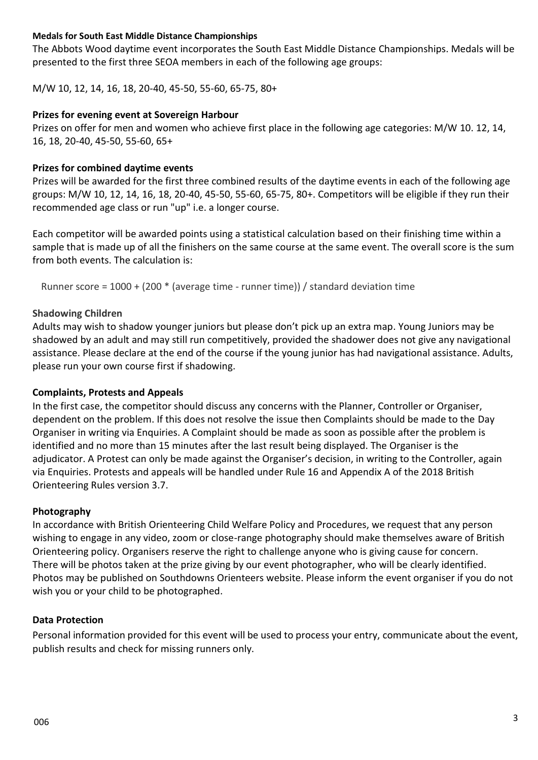## **Medals for South East Middle Distance Championships**

The Abbots Wood daytime event incorporates the South East Middle Distance Championships. Medals will be presented to the first three SEOA members in each of the following age groups:

M/W 10, 12, 14, 16, 18, 20-40, 45-50, 55-60, 65-75, 80+

## **Prizes for evening event at Sovereign Harbour**

Prizes on offer for men and women who achieve first place in the following age categories: M/W 10. 12, 14, 16, 18, 20-40, 45-50, 55-60, 65+

## **Prizes for combined daytime events**

Prizes will be awarded for the first three combined results of the daytime events in each of the following age groups: M/W 10, 12, 14, 16, 18, 20-40, 45-50, 55-60, 65-75, 80+. Competitors will be eligible if they run their recommended age class or run "up" i.e. a longer course.

Each competitor will be awarded points using a statistical calculation based on their finishing time within a sample that is made up of all the finishers on the same course at the same event. The overall score is the sum from both events. The calculation is:

Runner score = 1000 + (200 \* (average time - runner time)) / standard deviation time

## **Shadowing Children**

Adults may wish to shadow younger juniors but please don't pick up an extra map. Young Juniors may be shadowed by an adult and may still run competitively, provided the shadower does not give any navigational assistance. Please declare at the end of the course if the young junior has had navigational assistance. Adults, please run your own course first if shadowing.

### **Complaints, Protests and Appeals**

In the first case, the competitor should discuss any concerns with the Planner, Controller or Organiser, dependent on the problem. If this does not resolve the issue then Complaints should be made to the Day Organiser in writing via Enquiries. A Complaint should be made as soon as possible after the problem is identified and no more than 15 minutes after the last result being displayed. The Organiser is the adjudicator. A Protest can only be made against the Organiser's decision, in writing to the Controller, again via Enquiries. Protests and appeals will be handled under Rule 16 and Appendix A of the 2018 British Orienteering Rules version 3.7.

### **Photography**

In accordance with British Orienteering Child Welfare Policy and Procedures, we request that any person wishing to engage in any video, zoom or close-range photography should make themselves aware of British Orienteering policy. Organisers reserve the right to challenge anyone who is giving cause for concern. There will be photos taken at the prize giving by our event photographer, who will be clearly identified. Photos may be published on Southdowns Orienteers website. Please inform the event organiser if you do not wish you or your child to be photographed.

### **Data Protection**

Personal information provided for this event will be used to process your entry, communicate about the event, publish results and check for missing runners only.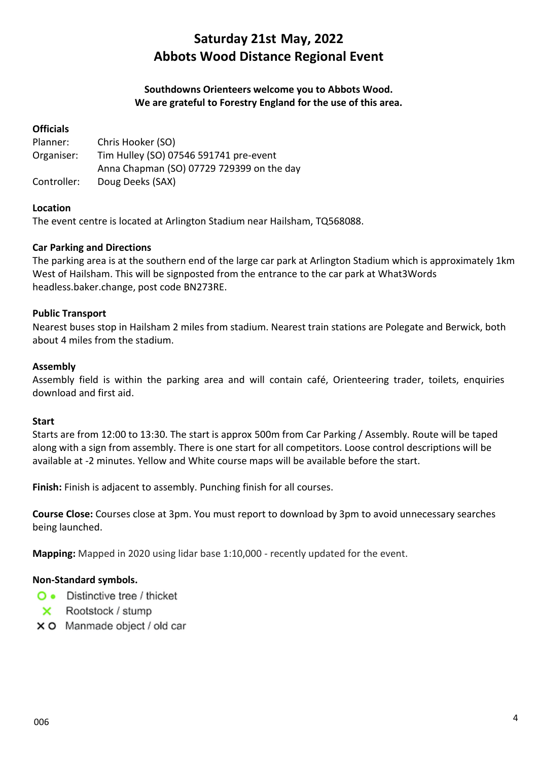# **Saturday 21st May, 2022 Abbots Wood Distance Regional Event**

## **Southdowns Orienteers welcome you to Abbots Wood. We are grateful to Forestry England for the use of this area.**

## **Officials**

| Planner:    | Chris Hooker (SO)                         |
|-------------|-------------------------------------------|
| Organiser:  | Tim Hulley (SO) 07546 591741 pre-event    |
|             | Anna Chapman (SO) 07729 729399 on the day |
| Controller: | Doug Deeks (SAX)                          |

## **Location**

The event centre is located at Arlington Stadium near Hailsham, TQ568088.

## **Car Parking and Directions**

The parking area is at the southern end of the large car park at Arlington Stadium which is approximately 1km West of Hailsham. This will be signposted from the entrance to the car park at What3Words headless.baker.change, post code BN273RE.

### **Public Transport**

Nearest buses stop in Hailsham 2 miles from stadium. Nearest train stations are Polegate and Berwick, both about 4 miles from the stadium.

### **Assembly**

Assembly field is within the parking area and will contain café, Orienteering trader, toilets, enquiries download and first aid.

### **Start**

Starts are from 12:00 to 13:30. The start is approx 500m from Car Parking / Assembly. Route will be taped along with a sign from assembly. There is one start for all competitors. Loose control descriptions will be available at -2 minutes. Yellow and White course maps will be available before the start.

**Finish:** Finish is adjacent to assembly. Punching finish for all courses.

**Course Close:** Courses close at 3pm. You must report to download by 3pm to avoid unnecessary searches being launched.

**Mapping:** Mapped in 2020 using lidar base 1:10,000 - recently updated for the event.

### **Non-Standard symbols.**

- • Distinctive tree / thicket
- $\times$  Rootstock / stump
- X O Manmade object / old car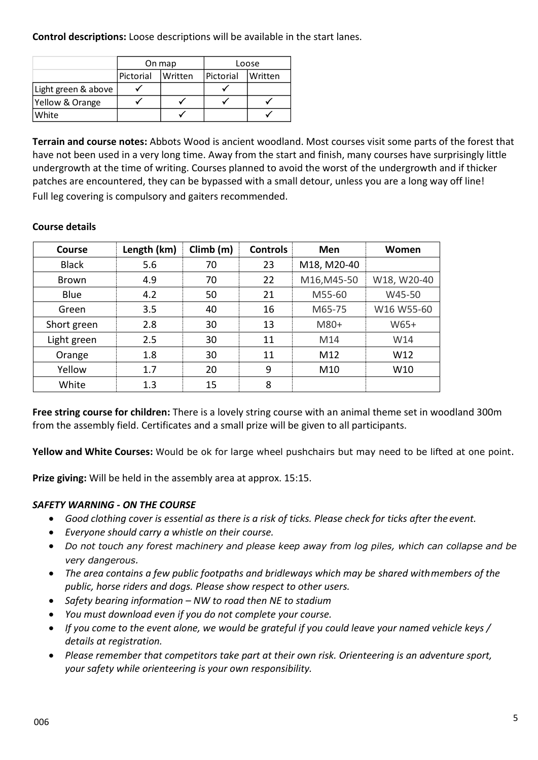**Control descriptions:** Loose descriptions will be available in the start lanes.

|                     | On map               |  | Loose             |         |
|---------------------|----------------------|--|-------------------|---------|
|                     | Pictorial<br>Written |  | <b>IPictorial</b> | Written |
| Light green & above |                      |  |                   |         |
| Yellow & Orange     |                      |  |                   |         |
| White               |                      |  |                   |         |

**Terrain and course notes:** Abbots Wood is ancient woodland. Most courses visit some parts of the forest that have not been used in a very long time. Away from the start and finish, many courses have surprisingly little undergrowth at the time of writing. Courses planned to avoid the worst of the undergrowth and if thicker patches are encountered, they can be bypassed with a small detour, unless you are a long way off line! Full leg covering is compulsory and gaiters recommended.

| Course       | Length (km) | Climb(m) | <b>Controls</b> | <b>Men</b>  | Women       |
|--------------|-------------|----------|-----------------|-------------|-------------|
| <b>Black</b> | 5.6         | 70       | 23              | M18, M20-40 |             |
| <b>Brown</b> | 4.9         | 70       | 22              | M16, M45-50 | W18, W20-40 |
| Blue         | 4.2         | 50       | 21              | M55-60      | W45-50      |
| Green        | 3.5         | 40       | 16              | M65-75      | W16 W55-60  |
| Short green  | 2.8         | 30       | 13              | M80+        | W65+        |
| Light green  | 2.5         | 30       | 11              | M14         | W14         |
| Orange       | 1.8         | 30       | 11              | M12         | W12         |
| Yellow       | 1.7         | 20       | 9               | M10         | W10         |
| White        | 1.3         | 15       | 8               |             |             |

## **Course details**

**Free string course for children:** There is a lovely string course with an animal theme set in woodland 300m from the assembly field. Certificates and a small prize will be given to all participants.

**Yellow and White Courses:** Would be ok for large wheel pushchairs but may need to be lifted at one point.

**Prize giving:** Will be held in the assembly area at approx. 15:15.

## *SAFETY WARNING - ON THE COURSE*

- *Good clothing cover is essential as there is a risk of ticks. Please check for ticks after the event.*
- *Everyone should carry a whistle on their course.*
- *Do not touch any forest machinery and please keep away from log piles, which can collapse and be very dangerous.*
- *The area contains a few public footpaths and bridleways which may be shared withmembers of the public, horse riders and dogs. Please show respect to other users.*
- *Safety bearing information – NW to road then NE to stadium*
- *You must download even if you do not complete your course.*
- *If you come to the event alone, we would be grateful if you could leave your named vehicle keys / details at registration.*
- *Please remember that competitors take part at their own risk. Orienteering is an adventure sport, your safety while orienteering is your own responsibility.*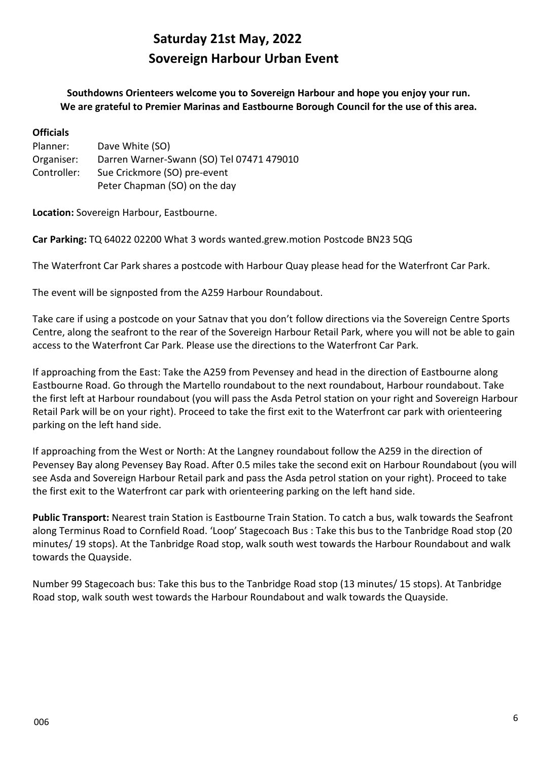# **Saturday 21st May, 2022 Sovereign Harbour Urban Event**

**Southdowns Orienteers welcome you to Sovereign Harbour and hope you enjoy your run. We are grateful to Premier Marinas and Eastbourne Borough Council for the use of this area.**

| <b>Officials</b> |                                           |
|------------------|-------------------------------------------|
| Planner:         | Dave White (SO)                           |
| Organiser:       | Darren Warner-Swann (SO) Tel 07471 479010 |
| Controller:      | Sue Crickmore (SO) pre-event              |
|                  | Peter Chapman (SO) on the day             |

**Location:** Sovereign Harbour, Eastbourne.

**Car Parking:** TQ 64022 02200 What 3 words wanted.grew.motion Postcode BN23 5QG

The Waterfront Car Park shares a postcode with Harbour Quay please head for the Waterfront Car Park.

The event will be signposted from the A259 Harbour Roundabout.

Take care if using a postcode on your Satnav that you don't follow directions via the Sovereign Centre Sports Centre, along the seafront to the rear of the Sovereign Harbour Retail Park, where you will not be able to gain access to the Waterfront Car Park. Please use the directions to the Waterfront Car Park.

If approaching from the East: Take the A259 from Pevensey and head in the direction of Eastbourne along Eastbourne Road. Go through the Martello roundabout to the next roundabout, Harbour roundabout. Take the first left at Harbour roundabout (you will pass the Asda Petrol station on your right and Sovereign Harbour Retail Park will be on your right). Proceed to take the first exit to the Waterfront car park with orienteering parking on the left hand side.

If approaching from the West or North: At the Langney roundabout follow the A259 in the direction of Pevensey Bay along Pevensey Bay Road. After 0.5 miles take the second exit on Harbour Roundabout (you will see Asda and Sovereign Harbour Retail park and pass the Asda petrol station on your right). Proceed to take the first exit to the Waterfront car park with orienteering parking on the left hand side.

**Public Transport:** Nearest train Station is Eastbourne Train Station. To catch a bus, walk towards the Seafront along Terminus Road to Cornfield Road. 'Loop' Stagecoach Bus : Take this bus to the Tanbridge Road stop (20 minutes/ 19 stops). At the Tanbridge Road stop, walk south west towards the Harbour Roundabout and walk towards the Quayside.

Number 99 Stagecoach bus: Take this bus to the Tanbridge Road stop (13 minutes/ 15 stops). At Tanbridge Road stop, walk south west towards the Harbour Roundabout and walk towards the Quayside.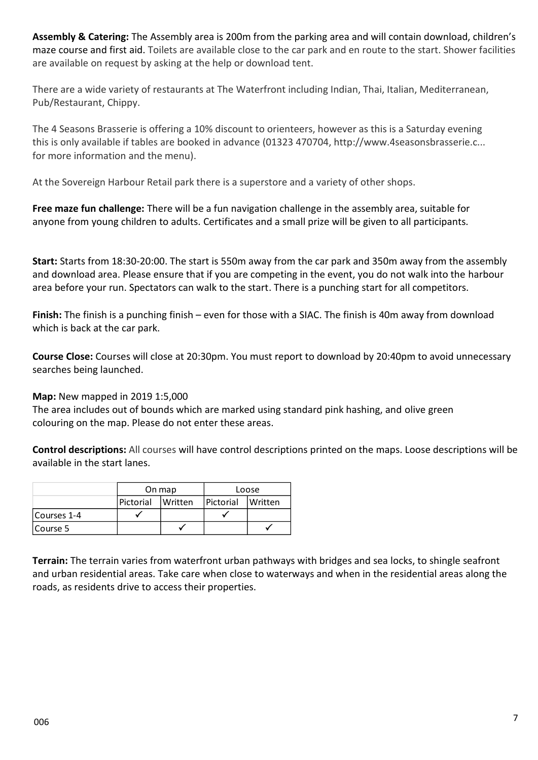**Assembly & Catering:** The Assembly area is 200m from the parking area and will contain download, children's maze course and first aid. Toilets are available close to the car park and en route to the start. Shower facilities are available on request by asking at the help or download tent.

There are a wide variety of restaurants at The Waterfront including Indian, Thai, Italian, Mediterranean, Pub/Restaurant, Chippy.

The 4 Seasons Brasserie is offering a 10% discount to orienteers, however as this is a Saturday evening this is only available if tables are booked in advance (01323 470704, http://www.4seasonsbrasserie.c... for more information and the menu).

At the Sovereign Harbour Retail park there is a superstore and a variety of other shops.

**Free maze fun challenge:** There will be a fun navigation challenge in the assembly area, suitable for anyone from young children to adults. Certificates and a small prize will be given to all participants.

**Start:** Starts from 18:30-20:00. The start is 550m away from the car park and 350m away from the assembly and download area. Please ensure that if you are competing in the event, you do not walk into the harbour area before your run. Spectators can walk to the start. There is a punching start for all competitors.

**Finish:** The finish is a punching finish – even for those with a SIAC. The finish is 40m away from download which is back at the car park.

**Course Close:** Courses will close at 20:30pm. You must report to download by 20:40pm to avoid unnecessary searches being launched.

## **Map:** New mapped in 2019 1:5,000

The area includes out of bounds which are marked using standard pink hashing, and olive green colouring on the map. Please do not enter these areas.

**Control descriptions:** All courses will have control descriptions printed on the maps. Loose descriptions will be available in the start lanes.

|             |                             | On map | Loose     |                |  |
|-------------|-----------------------------|--------|-----------|----------------|--|
|             | Pictorial<br><b>Written</b> |        | Pictorial | <b>Written</b> |  |
| Courses 1-4 |                             |        |           |                |  |
| Course 5    |                             |        |           |                |  |

**Terrain:** The terrain varies from waterfront urban pathways with bridges and sea locks, to shingle seafront and urban residential areas. Take care when close to waterways and when in the residential areas along the roads, as residents drive to access their properties.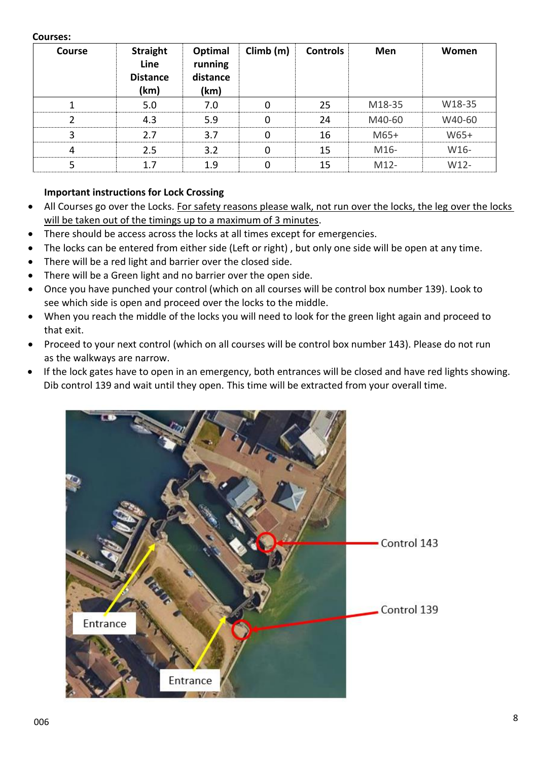## **Courses:**

| <b>Course</b>  | <b>Straight</b><br>Line<br><b>Distance</b><br>(km) | Optimal<br>running<br>distance<br>(km) | Climb(m) | <b>Controls</b> | Men    | Women  |
|----------------|----------------------------------------------------|----------------------------------------|----------|-----------------|--------|--------|
|                | 5.0                                                | 7.0                                    | 0        | 25              | M18-35 | W18-35 |
| 2              | 4.3                                                | 5.9                                    | 0        | 24              | M40-60 | W40-60 |
| 3              | 2.7                                                | 3.7                                    | 0        | 16              | $M65+$ | W65+   |
| $\overline{4}$ | 2.5                                                | 3.2                                    | 0        | 15              | M16-   | W16-   |
| 5              | 1.7                                                | 1.9                                    | $\Omega$ | 15              | $M12-$ | $W12-$ |

## **Important instructions for Lock Crossing**

- All Courses go over the Locks. For safety reasons please walk, not run over the locks, the leg over the locks will be taken out of the timings up to a maximum of 3 minutes.
- There should be access across the locks at all times except for emergencies.
- The locks can be entered from either side (Left or right), but only one side will be open at any time.
- There will be a red light and barrier over the closed side.
- There will be a Green light and no barrier over the open side.
- Once you have punched your control (which on all courses will be control box number 139). Look to see which side is open and proceed over the locks to the middle.
- When you reach the middle of the locks you will need to look for the green light again and proceed to that exit.
- Proceed to your next control (which on all courses will be control box number 143). Please do not run as the walkways are narrow.
- If the lock gates have to open in an emergency, both entrances will be closed and have red lights showing. Dib control 139 and wait until they open. This time will be extracted from your overall time.

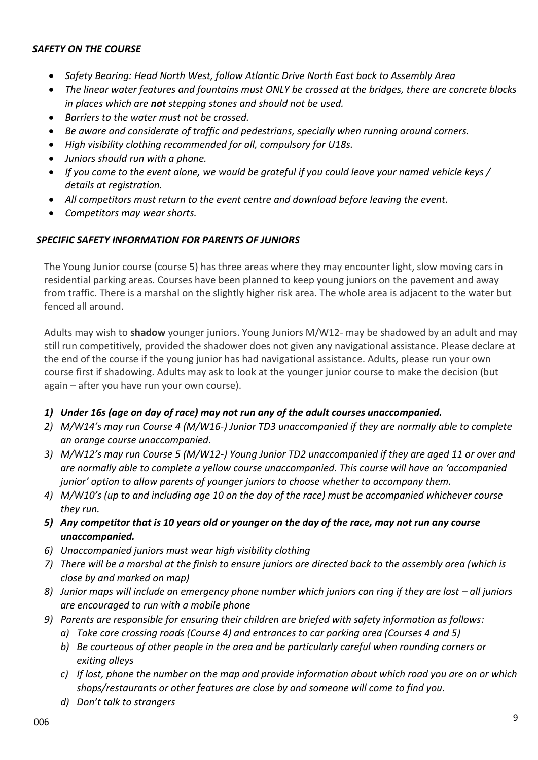### *SAFETY ON THE COURSE*

- *Safety Bearing: Head North West, follow Atlantic Drive North East back to Assembly Area*
- *The linear water features and fountains must ONLY be crossed at the bridges, there are concrete blocks in places which are not stepping stones and should not be used.*
- *Barriers to the water must not be crossed.*
- *Be aware and considerate of traffic and pedestrians, specially when running around corners.*
- *High visibility clothing recommended for all, compulsory for U18s.*
- *Juniors should run with a phone.*
- *If you come to the event alone, we would be grateful if you could leave your named vehicle keys / details at registration.*
- *All competitors must return to the event centre and download before leaving the event.*
- *Competitors may wear shorts.*

## *SPECIFIC SAFETY INFORMATION FOR PARENTS OF JUNIORS*

The Young Junior course (course 5) has three areas where they may encounter light, slow moving cars in residential parking areas. Courses have been planned to keep young juniors on the pavement and away from traffic. There is a marshal on the slightly higher risk area. The whole area is adjacent to the water but fenced all around.

Adults may wish to **shadow** younger juniors. Young Juniors M/W12- may be shadowed by an adult and may still run competitively, provided the shadower does not given any navigational assistance. Please declare at the end of the course if the young junior has had navigational assistance. Adults, please run your own course first if shadowing. Adults may ask to look at the younger junior course to make the decision (but again – after you have run your own course).

## *1) Under 16s (age on day of race) may not run any of the adult courses unaccompanied.*

- *2) M/W14's may run Course 4 (M/W16-) Junior TD3 unaccompanied if they are normally able to complete an orange course unaccompanied.*
- *3) M/W12's may run Course 5 (M/W12-) Young Junior TD2 unaccompanied if they are aged 11 or over and are normally able to complete a yellow course unaccompanied. This course will have an 'accompanied junior' option to allow parents of younger juniors to choose whether to accompany them.*
- *4) M/W10's (up to and including age 10 on the day of the race) must be accompanied whichever course they run.*
- *5) Any competitor that is 10 years old or younger on the day of the race, may not run any course unaccompanied.*
- *6) Unaccompanied juniors must wear high visibility clothing*
- *7) There will be a marshal at the finish to ensure juniors are directed back to the assembly area (which is close by and marked on map)*
- *8*) *Junior maps will include an emergency phone number which juniors can ring if they are lost all juniors are encouraged to run with a mobile phone*
- *9) Parents are responsible for ensuring their children are briefed with safety information as follows:*
	- *a) Take care crossing roads (Course 4) and entrances to car parking area (Courses 4 and 5)*
	- *b) Be courteous of other people in the area and be particularly careful when rounding corners or exiting alleys*
	- *c) If lost, phone the number on the map and provide information about which road you are on or which shops/restaurants or other features are close by and someone will come to find you.*
	- *d) Don't talk to strangers*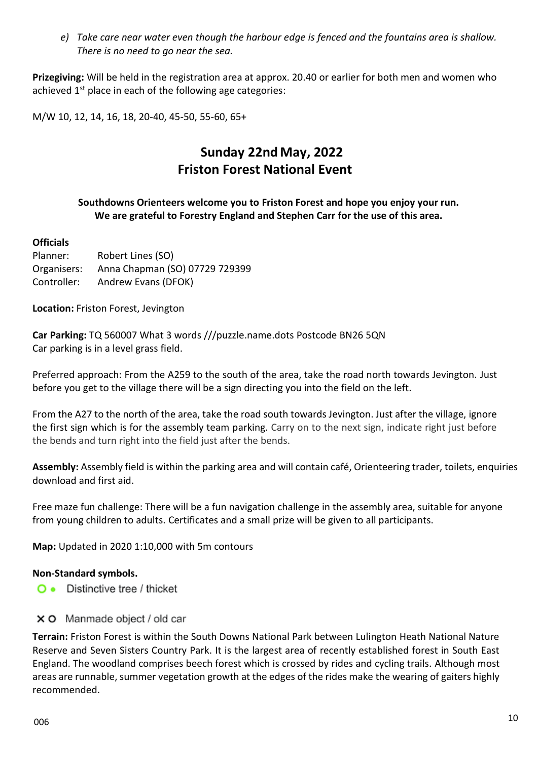*e) Take care near water even though the harbour edge is fenced and the fountains area is shallow. There is no need to go near the sea.*

**Prizegiving:** Will be held in the registration area at approx. 20.40 or earlier for both men and women who achieved  $1<sup>st</sup>$  place in each of the following age categories:

M/W 10, 12, 14, 16, 18, 20-40, 45-50, 55-60, 65+

# **Sunday 22nd May, 2022 Friston Forest National Event**

## **Southdowns Orienteers welcome you to Friston Forest and hope you enjoy your run. We are grateful to Forestry England and Stephen Carr for the use of this area.**

## **Officials**

Planner: Robert Lines (SO) Organisers: Anna Chapman (SO) 07729 729399 Controller: Andrew Evans (DFOK)

**Location:** Friston Forest, Jevington

**Car Parking:** TQ 560007 What 3 words ///puzzle.name.dots Postcode BN26 5QN Car parking is in a level grass field.

Preferred approach: From the A259 to the south of the area, take the road north towards Jevington. Just before you get to the village there will be a sign directing you into the field on the left.

From the A27 to the north of the area, take the road south towards Jevington. Just after the village, ignore the first sign which is for the assembly team parking. Carry on to the next sign, indicate right just before the bends and turn right into the field just after the bends.

**Assembly:** Assembly field is within the parking area and will contain café, Orienteering trader, toilets, enquiries download and first aid.

Free maze fun challenge: There will be a fun navigation challenge in the assembly area, suitable for anyone from young children to adults. Certificates and a small prize will be given to all participants.

**Map:** Updated in 2020 1:10,000 with 5m contours

## **Non-Standard symbols.**

- O . Distinctive tree / thicket
- X O Manmade object / old car

**Terrain:** Friston Forest is within the South Downs National Park between Lulington Heath National Nature Reserve and Seven Sisters Country Park. It is the largest area of recently established forest in South East England. The woodland comprises beech forest which is crossed by rides and cycling trails. Although most areas are runnable, summer vegetation growth at the edges of the rides make the wearing of gaiters highly recommended.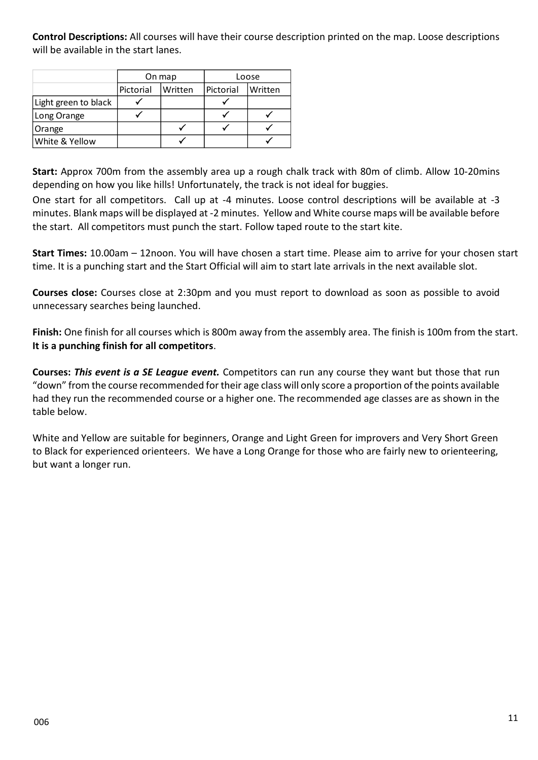**Control Descriptions:** All courses will have their course description printed on the map. Loose descriptions will be available in the start lanes.

|                      |                      | On map | Loose     |         |  |
|----------------------|----------------------|--------|-----------|---------|--|
|                      | Pictorial<br>Written |        | Pictorial | Written |  |
| Light green to black |                      |        |           |         |  |
| Long Orange          |                      |        |           |         |  |
| Orange               |                      |        |           |         |  |
| White & Yellow       |                      |        |           |         |  |

**Start:** Approx 700m from the assembly area up a rough chalk track with 80m of climb. Allow 10-20mins depending on how you like hills! Unfortunately, the track is not ideal for buggies.

One start for all competitors. Call up at -4 minutes. Loose control descriptions will be available at -3 minutes. Blank maps will be displayed at -2 minutes. Yellow and White course maps will be available before the start. All competitors must punch the start. Follow taped route to the start kite.

**Start Times:** 10.00am – 12noon. You will have chosen a start time. Please aim to arrive for your chosen start time. It is a punching start and the Start Official will aim to start late arrivals in the next available slot.

**Courses close:** Courses close at 2:30pm and you must report to download as soon as possible to avoid unnecessary searches being launched.

**Finish:** One finish for all courses which is 800m away from the assembly area. The finish is 100m from the start. **It is a punching finish for all competitors**.

**Courses:** *This event is a SE League event.* Competitors can run any course they want but those that run "down" from the course recommended for their age class will only score a proportion of the points available had they run the recommended course or a higher one. The recommended age classes are as shown in the table below.

White and Yellow are suitable for beginners, Orange and Light Green for improvers and Very Short Green to Black for experienced orienteers. We have a Long Orange for those who are fairly new to orienteering, but want a longer run.